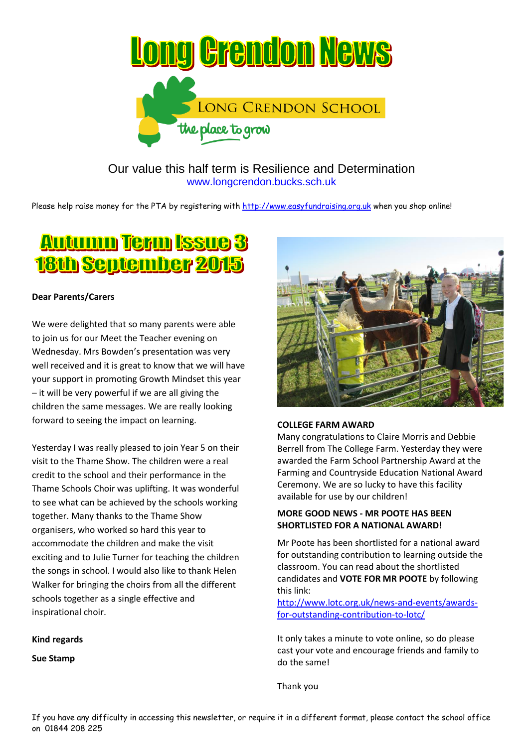

Our value this half term is Resilience and Determination [www.longcrendon.bucks.sch.uk](http://www.longcrendon.bucks.sch.uk/)

Please help raise money for the PTA by registering with [http://www.easyfundraising.org.uk](http://www.easyfundraising.org.uk/) when you shop online!

# **Autumn Term Issue 3** 18th September 2015

## **Dear Parents/Carers**

We were delighted that so many parents were able to join us for our Meet the Teacher evening on Wednesday. Mrs Bowden's presentation was very well received and it is great to know that we will have your support in promoting Growth Mindset this year – it will be very powerful if we are all giving the children the same messages. We are really looking forward to seeing the impact on learning.

Yesterday I was really pleased to join Year 5 on their visit to the Thame Show. The children were a real credit to the school and their performance in the Thame Schools Choir was uplifting. It was wonderful to see what can be achieved by the schools working together. Many thanks to the Thame Show organisers, who worked so hard this year to accommodate the children and make the visit exciting and to Julie Turner for teaching the children the songs in school. I would also like to thank Helen Walker for bringing the choirs from all the different schools together as a single effective and inspirational choir.

## **Kind regards**

**Sue Stamp**



## **COLLEGE FARM AWARD**

Many congratulations to Claire Morris and Debbie Berrell from The College Farm. Yesterday they were awarded the Farm School Partnership Award at the Farming and Countryside Education National Award Ceremony. We are so lucky to have this facility available for use by our children!

## **MORE GOOD NEWS - MR POOTE HAS BEEN SHORTLISTED FOR A NATIONAL AWARD!**

Mr Poote has been shortlisted for a national award for outstanding contribution to learning outside the classroom. You can read about the shortlisted candidates and **VOTE FOR MR POOTE** by following this link:

[http://www.lotc.org.uk/news-and-events/awards](http://www.lotc.org.uk/news-and-events/awards-for-outstanding-contribution-to-lotc/)[for-outstanding-contribution-to-lotc/](http://www.lotc.org.uk/news-and-events/awards-for-outstanding-contribution-to-lotc/)

It only takes a minute to vote online, so do please cast your vote and encourage friends and family to do the same!

Thank you